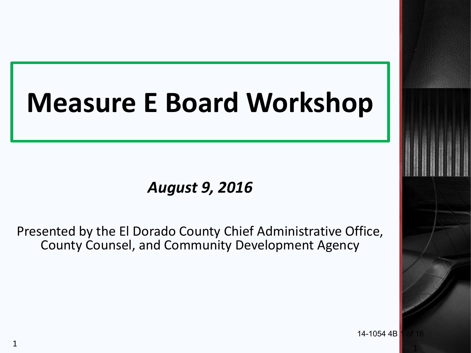# **Measure E Board Workshop**

### *August 9, 2016*

Presented by the El Dorado County Chief Administrative Office, County Counsel, and Community Development Agency

14-1054 4B

1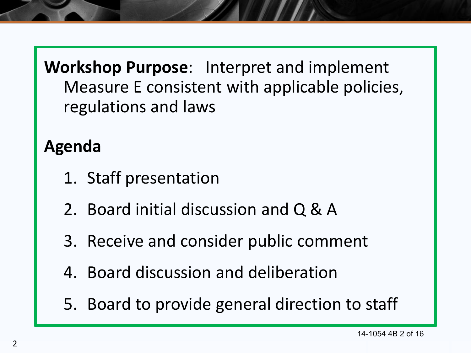**Workshop Purpose**: Interpret and implement Measure E consistent with applicable policies, regulations and laws

# **Agenda**

- 1. Staff presentation
- 2. Board initial discussion and Q & A
- 3. Receive and consider public comment
- 4. Board discussion and deliberation
- 5. Board to provide general direction to staff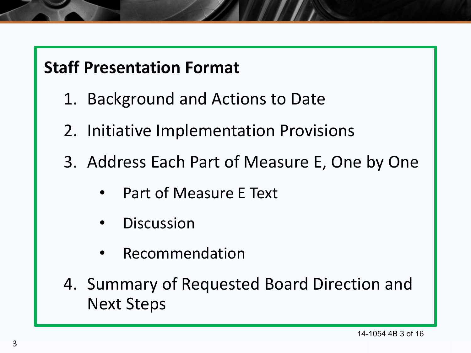### **Staff Presentation Format**

- 1. Background and Actions to Date
- 2. Initiative Implementation Provisions
- 3. Address Each Part of Measure E, One by One
	- Part of Measure E Text
	- **Discussion**
	- **Recommendation**
- 4. Summary of Requested Board Direction and Next Steps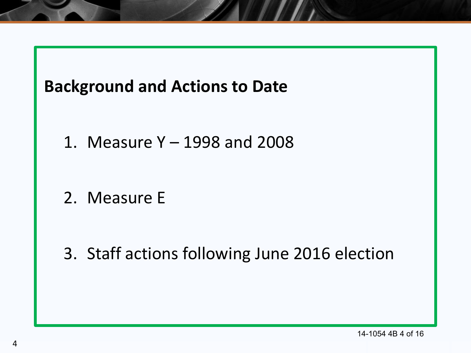

- 1. Measure Y 1998 and 2008
- 2. Measure E

3. Staff actions following June 2016 election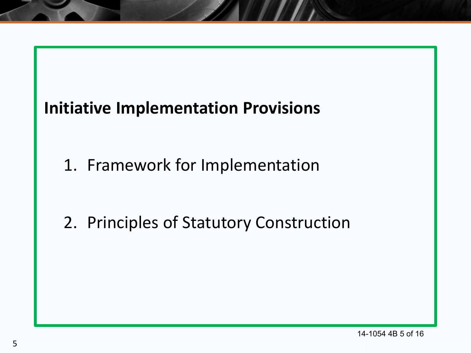# **Initiative Implementation Provisions**

1. Framework for Implementation

2. Principles of Statutory Construction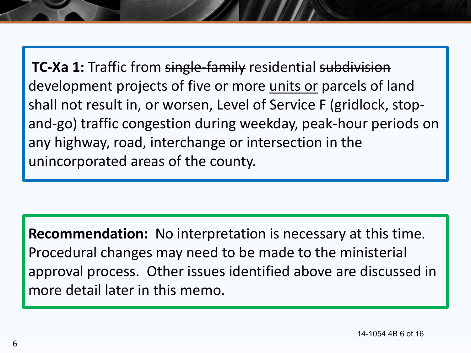**TC-Xa 1:** Traffic from single-family residential subdivision development projects of five or more units or parcels of land shall not result in, or worsen, Level of Service F (gridlock, stopand-go) traffic congestion during weekday, peak-hour periods on any highway, road, interchange or intersection in the unincorporated areas of the county.

**Recommendation:** No interpretation is necessary at this time. Procedural changes may need to be made to the ministerial approval process. Other issues identified above are discussed in more detail later in this memo.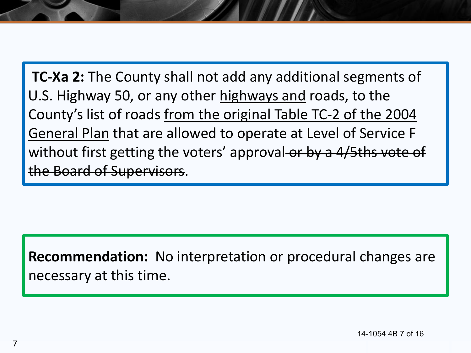**TC-Xa 2:** The County shall not add any additional segments of U.S. Highway 50, or any other highways and roads, to the County's list of roads from the original Table TC-2 of the 2004 General Plan that are allowed to operate at Level of Service F without first getting the voters' approval-or by a 4/5ths vote of the Board of Supervisors.

**Recommendation:** No interpretation or procedural changes are necessary at this time.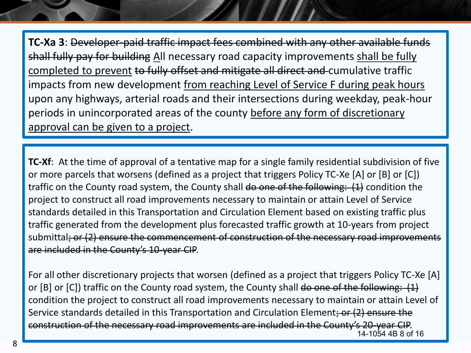**TC-Xa 3**: Developer-paid traffic impact fees combined with any other available funds shall fully pay for building All necessary road capacity improvements shall be fully completed to prevent to fully offset and mitigate all direct and cumulative traffic impacts from new development from reaching Level of Service F during peak hours upon any highways, arterial roads and their intersections during weekday, peak-hour periods in unincorporated areas of the county before any form of discretionary approval can be given to a project.

**TC-Xf**: At the time of approval of a tentative map for a single family residential subdivision of five or more parcels that worsens (defined as a project that triggers Policy TC-Xe [A] or [B] or [C]) traffic on the County road system, the County shall do one of the following: (1) condition the project to construct all road improvements necessary to maintain or attain Level of Service standards detailed in this Transportation and Circulation Element based on existing traffic plus traffic generated from the development plus forecasted traffic growth at 10-years from project submittal; or (2) ensure the commencement of construction of the necessary road improvements are included in the County's 10-year CIP.

For all other discretionary projects that worsen (defined as a project that triggers Policy TC-Xe [A] or [B] or [C]) traffic on the County road system, the County shall do one of the following: (1) condition the project to construct all road improvements necessary to maintain or attain Level of Service standards detailed in this Transportation and Circulation Element; or (2) ensure the construction of the necessary road improvements are included in the County's 20-year CIP. 14-1054 4B 8 of 16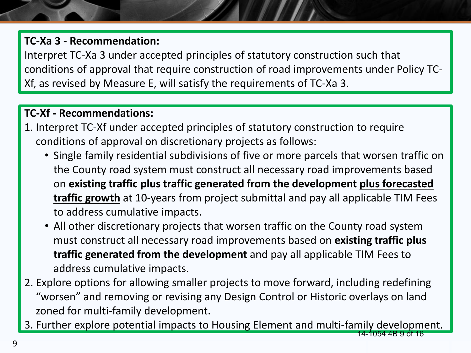#### **TC-Xa 3 - Recommendation:**

Interpret TC-Xa 3 under accepted principles of statutory construction such that conditions of approval that require construction of road improvements under Policy TC-Xf, as revised by Measure E, will satisfy the requirements of TC-Xa 3.

#### **TC-Xf - Recommendations:**

- 1. Interpret TC-Xf under accepted principles of statutory construction to require conditions of approval on discretionary projects as follows:
	- Single family residential subdivisions of five or more parcels that worsen traffic on the County road system must construct all necessary road improvements based on **existing traffic plus traffic generated from the development plus forecasted traffic growth** at 10-years from project submittal and pay all applicable TIM Fees to address cumulative impacts.
	- All other discretionary projects that worsen traffic on the County road system must construct all necessary road improvements based on **existing traffic plus traffic generated from the development** and pay all applicable TIM Fees to address cumulative impacts.
- 2. Explore options for allowing smaller projects to move forward, including redefining "worsen" and removing or revising any Design Control or Historic overlays on land zoned for multi-family development.
- 3. Further explore potential impacts to Housing Element and multi-family development. 14-1054 4B 9 of 16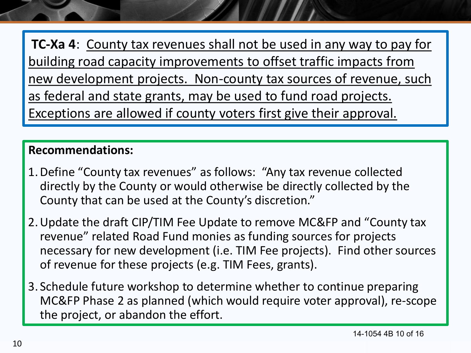**TC-Xa 4:** County tax revenues shall not be used in any way to pay for building road capacity improvements to offset traffic impacts from new development projects. Non-county tax sources of revenue, such as federal and state grants, may be used to fund road projects. Exceptions are allowed if county voters first give their approval.

#### **Recommendations:**

- 1.Define "County tax revenues" as follows: "Any tax revenue collected directly by the County or would otherwise be directly collected by the County that can be used at the County's discretion."
- 2.Update the draft CIP/TIM Fee Update to remove MC&FP and "County tax revenue" related Road Fund monies as funding sources for projects necessary for new development (i.e. TIM Fee projects). Find other sources of revenue for these projects (e.g. TIM Fees, grants).
- 3. Schedule future workshop to determine whether to continue preparing MC&FP Phase 2 as planned (which would require voter approval), re-scope the project, or abandon the effort.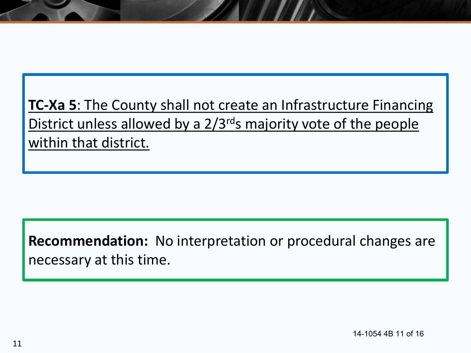**TC-Xa 5**: The County shall not create an Infrastructure Financing District unless allowed by a 2/3<sup>rd</sup>s majority vote of the people within that district.

**Recommendation:** No interpretation or procedural changes are necessary at this time.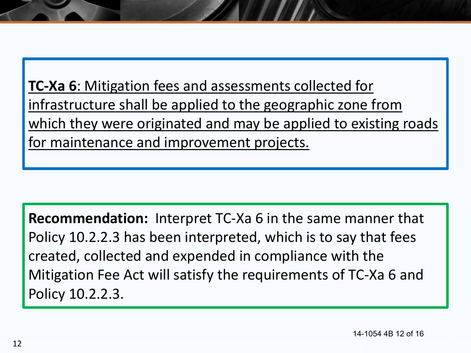**TC-Xa 6**: Mitigation fees and assessments collected for infrastructure shall be applied to the geographic zone from which they were originated and may be applied to existing roads for maintenance and improvement projects.

**Recommendation:** Interpret TC-Xa 6 in the same manner that Policy 10.2.2.3 has been interpreted, which is to say that fees created, collected and expended in compliance with the Mitigation Fee Act will satisfy the requirements of TC-Xa 6 and Policy 10.2.2.3.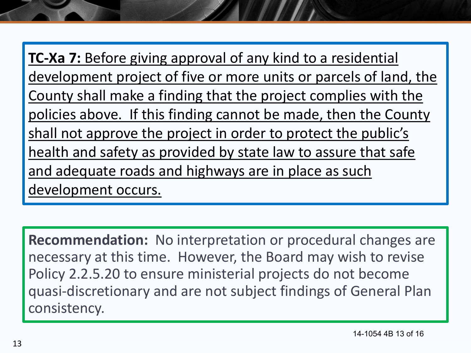**TC-Xa 7:** Before giving approval of any kind to a residential development project of five or more units or parcels of land, the County shall make a finding that the project complies with the policies above. If this finding cannot be made, then the County shall not approve the project in order to protect the public's health and safety as provided by state law to assure that safe and adequate roads and highways are in place as such development occurs.

**Recommendation:** No interpretation or procedural changes are necessary at this time. However, the Board may wish to revise Policy 2.2.5.20 to ensure ministerial projects do not become quasi-discretionary and are not subject findings of General Plan consistency.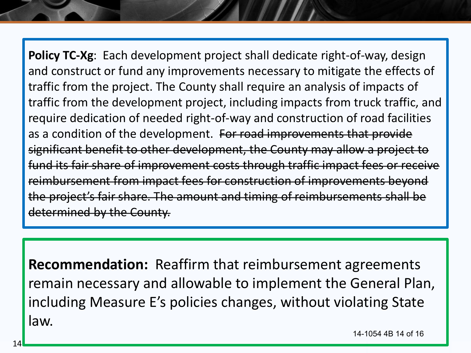**Policy TC-Xg**: Each development project shall dedicate right-of-way, design and construct or fund any improvements necessary to mitigate the effects of traffic from the project. The County shall require an analysis of impacts of traffic from the development project, including impacts from truck traffic, and require dedication of needed right-of-way and construction of road facilities as a condition of the development. For road improvements that provide significant benefit to other development, the County may allow a project to fund its fair share of improvement costs through traffic impact fees or receive reimbursement from impact fees for construction of improvements beyond the project's fair share. The amount and timing of reimbursements shall be determined by the County.

**Recommendation:** Reaffirm that reimbursement agreements remain necessary and allowable to implement the General Plan, including Measure E's policies changes, without violating State law.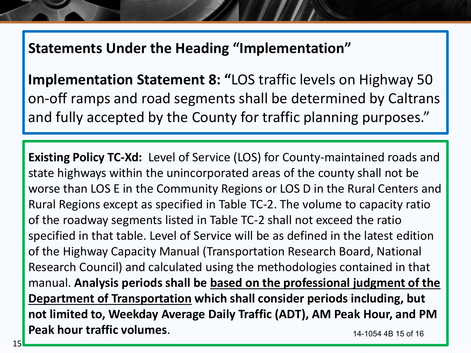### **Statements Under the Heading "Implementation"**

**Implementation Statement 8: "**LOS traffic levels on Highway 50 on-off ramps and road segments shall be determined by Caltrans and fully accepted by the County for traffic planning purposes."

**Existing Policy TC-Xd:** Level of Service (LOS) for County-maintained roads and state highways within the unincorporated areas of the county shall not be worse than LOS E in the Community Regions or LOS D in the Rural Centers and Rural Regions except as specified in Table TC-2. The volume to capacity ratio of the roadway segments listed in Table TC-2 shall not exceed the ratio specified in that table. Level of Service will be as defined in the latest edition of the Highway Capacity Manual (Transportation Research Board, National Research Council) and calculated using the methodologies contained in that manual. **Analysis periods shall be based on the professional judgment of the Department of Transportation which shall consider periods including, but not limited to, Weekday Average Daily Traffic (ADT), AM Peak Hour, and PM Peak hour traffic volumes**. 14-1054 4B 15 of 16